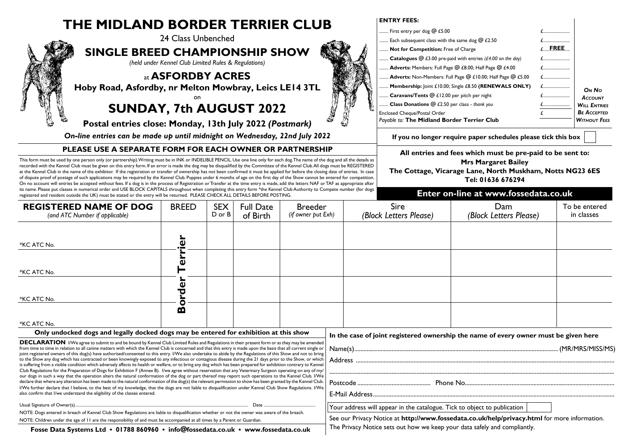# **THE MIDI AND BORDER TERRIER CLUB**



**PLEASE USE A SEPARATE FORM FOR EACH OWNER OR PARTNERSHIP**

### This form must be used by one person only (or partnership). Writing must be in INK or INDELIBLE PENCIL. Use one line only for each dog. The name of the dog and all the details as recorded with the Kennel Club must be given on this entry form. If an error is made the dog may be disqualified by the Committee of the Kennel Club. All dogs must be REGISTERED

at the Kennel Club in the name of the exhibitor. If the registration or transfer of ownership has not been confirmed it must be applied for before the closing date of entries. In case *of dispute proof of postage of such applications may be required by the Kennel Club. Puppies under 6 months of age on the first day of the Show cannot be entered for competition. On no account will entries be accepted without fees. If a dog is in the process of Registration or Transfer at the time entry is made, add the letters NAF or TAF as appropriate after its name. Please put classes in numerical order and USE BLOCK CAPITALS throughout when completing this entry form \*the Kennel Club Authority to Compete number (for dogs registered and resident outside the UK) must be stated or the entry will be returned. PLEASE CHECK ALL DETAILS BEFORE POSTING.*

#### **ENTRY FEES:**

|   | First entry per dog @ £5.00                                                        |             |                     |
|---|------------------------------------------------------------------------------------|-------------|---------------------|
|   | Each subsequent class with the same dog $\omega$ £2.50                             |             |                     |
| N | Not for Competition: Free of Charge                                                | <b>FREE</b> |                     |
|   | <b>Catalogues</b> $\textcircled{a}$ £3.00 pre-paid with entries (£4.00 on the day) |             |                     |
|   | <b>Adverts:</b> Members: Full Page @ £8.00; Half Page @ £4.00                      |             |                     |
|   | Adverts: Non-Members: Full Page @ £10.00; Half Page @ £5.00                        |             |                     |
|   | Membership: joint £10.00; Single £8.50 (RENEWALS ONLY)                             |             | ON No               |
|   | Caravans/Tents @ £12.00 per pitch per night                                        |             | <b>ACCOUNT</b>      |
|   | Class Donations @ £2.50 per class - thank you                                      | £           | <b>WILL ENTRIES</b> |
|   | Enclosed Cheque/Postal Order                                                       |             | <b>BE ACCEPTED</b>  |
|   | Payable to: The Midland Border Terrier Club                                        |             | <b>WITHOUT FEES</b> |

**If you no longer require paper schedules please tick this box**

**All entries and fees which must be pre-paid to be sent to:**

#### **Mrs Margaret Bailey**

**The Cottage, Vicarage Lane, North Muskham, Notts NG23 6ES Tel: 01636 676294**

## **Enter on-line at www.fossedata.co.uk**

| <b>REGISTERED NAME OF DOG</b><br>(and ATC Number if applicable)                                                                                                                                                                                                                                                                                                                                                                                                                                                                                                                                                                                                                                                                                                                                                               | <b>BREED</b>       | <b>SEX</b><br>D or B | <b>Full Date</b><br>of Birth | <b>Breeder</b><br>(if owner put Exh) |                                                                                              | <b>Sire</b><br>(Block Letters Please)                                                | Dam<br>(Block Letters Please) | To be entered<br>in classes |  |
|-------------------------------------------------------------------------------------------------------------------------------------------------------------------------------------------------------------------------------------------------------------------------------------------------------------------------------------------------------------------------------------------------------------------------------------------------------------------------------------------------------------------------------------------------------------------------------------------------------------------------------------------------------------------------------------------------------------------------------------------------------------------------------------------------------------------------------|--------------------|----------------------|------------------------------|--------------------------------------|----------------------------------------------------------------------------------------------|--------------------------------------------------------------------------------------|-------------------------------|-----------------------------|--|
| *KC ATC No.                                                                                                                                                                                                                                                                                                                                                                                                                                                                                                                                                                                                                                                                                                                                                                                                                   | $\bar{\mathbf{v}}$ |                      |                              |                                      |                                                                                              |                                                                                      |                               |                             |  |
| *KC ATC No.                                                                                                                                                                                                                                                                                                                                                                                                                                                                                                                                                                                                                                                                                                                                                                                                                   | $\mathbf 0$        |                      |                              |                                      |                                                                                              |                                                                                      |                               |                             |  |
| *KC ATC No.                                                                                                                                                                                                                                                                                                                                                                                                                                                                                                                                                                                                                                                                                                                                                                                                                   | τ                  |                      |                              |                                      |                                                                                              |                                                                                      |                               |                             |  |
| *KC ATC No.                                                                                                                                                                                                                                                                                                                                                                                                                                                                                                                                                                                                                                                                                                                                                                                                                   | M                  |                      |                              |                                      |                                                                                              |                                                                                      |                               |                             |  |
| Only undocked dogs and legally docked dogs may be entered for exhibition at this show                                                                                                                                                                                                                                                                                                                                                                                                                                                                                                                                                                                                                                                                                                                                         |                    |                      |                              |                                      |                                                                                              | In the case of joint registered ownership the name of every owner must be given here |                               |                             |  |
| <b>DECLARATION</b> I/We agree to submit to and be bound by Kennel Club Limited Rules and Regulations in their present form or as they may be amended<br>from time to time in relation to all canine matters with which the Kennel Club is concerned and that this entry is made upon the basis that all current single or<br>joint registered owners of this dog(s) have authorised/consented to this entry. I/We also undertake to abide by the Regulations of this Show and not to bring<br>to the Show any dog which has contracted or been knowingly exposed to any infectious or contagious disease during the 21 days prior to the Show, or which<br>is suffering from a visible condition which adversely affects its health or welfare, or to bring any dog which has been prepared for exhibition contrary to Kennel |                    |                      |                              |                                      |                                                                                              |                                                                                      |                               |                             |  |
| Club Regulations for the Preparation of Dogs for Exhibition F (Annex B). I/we agree without reservation that any Veterinary Surgeon operating on any of my/<br>our dogs in such a way that the operation alters the natural conformation of the dog or part thereof may report such operations to the Kennel Club. I/We                                                                                                                                                                                                                                                                                                                                                                                                                                                                                                       |                    |                      |                              |                                      |                                                                                              |                                                                                      |                               |                             |  |
| declare that where any alteration has been made to the natural conformation of the dog(s) the relevant permission to show has been granted by the Kennel Club.                                                                                                                                                                                                                                                                                                                                                                                                                                                                                                                                                                                                                                                                |                    |                      |                              |                                      |                                                                                              |                                                                                      |                               |                             |  |
| I/We further declare that I believe, to the best of my knowledge, that the dogs are not liable to disqualification under Kennel Club Show Regulations. I/We<br>also confirm that I/we understand the eligibility of the classes entered.                                                                                                                                                                                                                                                                                                                                                                                                                                                                                                                                                                                      |                    |                      |                              |                                      |                                                                                              |                                                                                      |                               |                             |  |
| Usual Signature of Owner(s)                                                                                                                                                                                                                                                                                                                                                                                                                                                                                                                                                                                                                                                                                                                                                                                                   |                    |                      |                              |                                      |                                                                                              | Your address will appear in the catalogue. Tick to object to publication             |                               |                             |  |
| NOTE: Dogs entered in breach of Kennel Club Show Regulations are liable to disqualification whether or not the owner was aware of the breach.                                                                                                                                                                                                                                                                                                                                                                                                                                                                                                                                                                                                                                                                                 |                    |                      |                              |                                      | See our Privacy Notice at http://www.fossedata.co.uk/help/privacy.html for more information. |                                                                                      |                               |                             |  |
| NOTE: Children under the 200 of U are the responsibility of and must be accompanied at all times by a Parent or Guardian                                                                                                                                                                                                                                                                                                                                                                                                                                                                                                                                                                                                                                                                                                      |                    |                      |                              |                                      |                                                                                              |                                                                                      |                               |                             |  |

NOTE: Children under the age of 11 are the responsibility of and must be accompanied at all times by a Parent or Guardian.

**Fosse Data Systems Ltd • 01788 860960 • info@fossedata.co.uk • www.fossedata.co.uk**

The Privacy Notice sets out how we keep your data safely and compliantly.